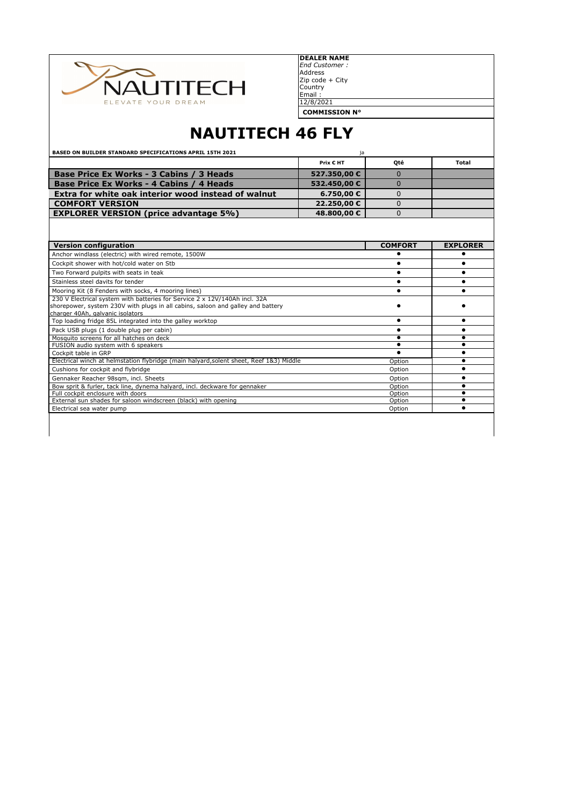

Zip code + City Country Email : 12/8/2021 **DEALER NAME** *End Customer :* Address

**COMMISSION N°**

# **NAUTITECH 46 FLY**

| <b>BASED ON BUILDER STANDARD SPECIFICATIONS APRIL 15TH 2021</b>                                                                                                                                   | ja           |                |                 |
|---------------------------------------------------------------------------------------------------------------------------------------------------------------------------------------------------|--------------|----------------|-----------------|
|                                                                                                                                                                                                   | Prix € HT    | Oté            | <b>Total</b>    |
| Base Price Ex Works - 3 Cabins / 3 Heads                                                                                                                                                          | 527.350,00€  | $\Omega$       |                 |
| Base Price Ex Works - 4 Cabins / 4 Heads                                                                                                                                                          | 532.450,00 € | $\Omega$       |                 |
| Extra for white oak interior wood instead of walnut                                                                                                                                               | 6.750,00€    | 0              |                 |
| <b>COMFORT VERSION</b>                                                                                                                                                                            | 22.250,00 €  | $\Omega$       |                 |
| <b>EXPLORER VERSION (price advantage 5%)</b>                                                                                                                                                      | 48.800,00€   | 0              |                 |
|                                                                                                                                                                                                   |              |                |                 |
| <b>Version configuration</b>                                                                                                                                                                      |              | <b>COMFORT</b> | <b>EXPLORER</b> |
| Anchor windlass (electric) with wired remote, 1500W                                                                                                                                               |              |                |                 |
| Cockpit shower with hot/cold water on Stb                                                                                                                                                         |              |                |                 |
| Two Forward pulpits with seats in teak                                                                                                                                                            |              |                |                 |
| Stainless steel davits for tender                                                                                                                                                                 |              | $\bullet$      |                 |
| Mooring Kit (8 Fenders with socks, 4 mooring lines)                                                                                                                                               |              |                |                 |
| 230 V Electrical system with batteries for Service 2 x 12V/140Ah incl. 32A<br>shorepower, system 230V with plugs in all cabins, saloon and galley and battery<br>charger 40Ah, galvanic isolators |              |                |                 |
| Top loading fridge 85L integrated into the galley worktop                                                                                                                                         |              | $\bullet$      |                 |
| Pack USB plugs (1 double plug per cabin)                                                                                                                                                          |              |                |                 |
| Mosquito screens for all hatches on deck                                                                                                                                                          |              |                |                 |
| FUSION audio system with 6 speakers                                                                                                                                                               |              |                |                 |
| Cockpit table in GRP                                                                                                                                                                              |              |                |                 |
| Electrical winch at helmstation flybridge (main halyard, solent sheet, Reef 183) Middle                                                                                                           |              | Option         |                 |
| Cushions for cockpit and flybridge                                                                                                                                                                |              | Option         |                 |
| Gennaker Reacher 98sgm, incl. Sheets                                                                                                                                                              |              | Option         |                 |
| Bow sprit & furler, tack line, dynema halyard, incl. deckware for gennaker                                                                                                                        |              | Option         |                 |
| Full cockpit enclosure with doors                                                                                                                                                                 |              | Option         | ٠<br>$\bullet$  |
| External sun shades for saloon windscreen (black) with opening                                                                                                                                    |              | Option         |                 |
| Electrical sea water pump                                                                                                                                                                         |              | Option         |                 |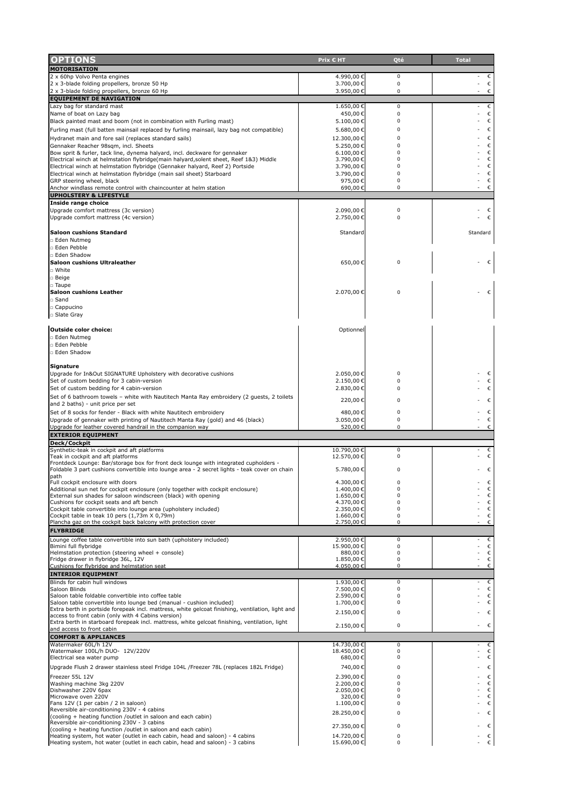| OPTIONS                                                                                                                                             | Prix € HT               | Qté                  | <b>Total</b>    |
|-----------------------------------------------------------------------------------------------------------------------------------------------------|-------------------------|----------------------|-----------------|
| <b>MOTORISATION</b>                                                                                                                                 |                         |                      |                 |
| 2 x 60hp Volvo Penta engines                                                                                                                        | 4.990,00€               | 0                    | €               |
| 2 x 3-blade folding propellers, bronze 50 Hp                                                                                                        | 3.700,00€               | $\mathbf 0$          | $\epsilon$      |
| 2 x 3-blade folding propellers, bronze 60 Hp<br><b>EQUIPEMENT DE NAVIGATION</b>                                                                     | 3.950,00€               | 0                    | $\epsilon$      |
| Lazy bag for standard mast                                                                                                                          | 1.650,00€               | $\mathbf 0$          | $\epsilon$      |
| Name of boat on Lazy bag                                                                                                                            | 450,00€                 | $\mathbf 0$          | $\epsilon$      |
| Black painted mast and boom (not in combination with Furling mast)                                                                                  | 5.100,00€               | 0                    | $\epsilon$      |
| Furling mast (full batten mainsail replaced by furling mainsail, lazy bag not compatible)                                                           | 5.680,00€               | 0                    | $\epsilon$      |
| Hydranet main and fore sail (replaces standard sails)                                                                                               | 12.300,00€              | 0                    | $\epsilon$      |
| Gennaker Reacher 98sqm, incl. Sheets<br>Bow sprit & furler, tack line, dynema halyard, incl. deckware for gennaker                                  | 5.250,00€<br>6.100,00 € | $\Omega$<br>$\Omega$ | $\epsilon$<br>€ |
| Electrical winch at helmstation flybridge(main halyard, solent sheet, Reef 183) Middle                                                              | 3.790,00€               | 0                    | C               |
| Electrical winch at helmstation flybridge (Gennaker halyard, Reef 2) Portside                                                                       | 3.790,00€               | $\Omega$             | €               |
| Electrical winch at helmstation flybridge (main sail sheet) Starboard                                                                               | 3.790,00€               | $\Omega$             | $\epsilon$      |
| GRP steering wheel, black<br>Anchor windlass remote control with chaincounter at helm station                                                       | 975,00€<br>690,00€      | $\Omega$<br>0        | €<br>€          |
| <b>UPHOLSTERY &amp; LIFESTYLE</b>                                                                                                                   |                         |                      |                 |
| Inside range choice                                                                                                                                 |                         |                      |                 |
| Upgrade comfort mattress (3c version)                                                                                                               | 2.090,00€               | $\mathbf 0$          | $\epsilon$      |
| Upgrade comfort mattress (4c version)                                                                                                               | 2.750,00€               | 0                    | $\epsilon$      |
| <b>Saloon cushions Standard</b>                                                                                                                     | Standard                |                      | Standard        |
| □ Eden Nutmeg                                                                                                                                       |                         |                      |                 |
| □ Eden Pebble                                                                                                                                       |                         |                      |                 |
| □ Eden Shadow                                                                                                                                       |                         |                      |                 |
| <b>Saloon cushions Ultraleather</b>                                                                                                                 | 650,00€                 | 0                    | €               |
| □ White                                                                                                                                             |                         |                      |                 |
| □ Beige<br>□ Taupe                                                                                                                                  |                         |                      |                 |
| <b>Saloon cushions Leather</b>                                                                                                                      | 2.070,00€               | 0                    | €               |
| □ Sand                                                                                                                                              |                         |                      |                 |
| □ Cappucino                                                                                                                                         |                         |                      |                 |
| □ Slate Gray                                                                                                                                        |                         |                      |                 |
| Outside color choice:                                                                                                                               | Optionnel               |                      |                 |
| □ Eden Nutmeg                                                                                                                                       |                         |                      |                 |
| □ Eden Pebble                                                                                                                                       |                         |                      |                 |
| □ Eden Shadow                                                                                                                                       |                         |                      |                 |
|                                                                                                                                                     |                         |                      |                 |
| Signature                                                                                                                                           |                         | 0                    | €               |
| Upgrade for In&Out SIGNATURE Upholstery with decorative cushions<br>Set of custom bedding for 3 cabin-version                                       | 2.050,00€<br>2.150,00€  | 0                    | $\epsilon$      |
| Set of custom bedding for 4 cabin-version                                                                                                           | 2.830,00€               | 0                    | €               |
| Set of 6 bathroom towels - white with Nautitech Manta Ray embroidery (2 guests, 2 toilets                                                           |                         |                      |                 |
| and 2 baths) - unit price per set                                                                                                                   | 220,00€                 | 0                    | €               |
| Set of 8 socks for fender - Black with white Nautitech embroidery                                                                                   | 480,00€                 | 0                    | $\epsilon$      |
| Upgrade of gennaker with printing of Nautitech Manta Ray (gold) and 46 (black)<br>Upgrade for leather covered handrail in the companion way         | 3.050,00€               | 0<br>0               | $\epsilon$<br>€ |
| <b>EXTERIOR EQUIPMENT</b>                                                                                                                           | 520,00€                 |                      |                 |
| Deck/Cockpit                                                                                                                                        |                         |                      |                 |
| Synthetic-teak in cockpit and aft platforms                                                                                                         | 10.790,00€              | 0                    | $\epsilon$      |
| Teak in cockpit and aft platforms<br>Frontdeck Lounge: Bar/storage box for front deck lounge with integrated cupholders -                           | 12.570,00€              | 0                    | €               |
| Foldable 3 part cushions convertible into lounge area - 2 secret lights - teak cover on chain                                                       | 5.780,00€               | 0                    | $\epsilon$      |
| path                                                                                                                                                |                         |                      |                 |
| ull cockpit enclosure with doors-<br>Additional sun net for cockpit enclosure (only together with cockpit enclosure)                                | 4.300,00€<br>1.400,00€  | 0<br>0               | €<br>$\epsilon$ |
| External sun shades for saloon windscreen (black) with opening                                                                                      | 1.650,00€               | 0                    | €               |
| Cushions for cockpit seats and aft bench                                                                                                            | 4.370,00€               | 0                    | €               |
| Cockpit table convertible into lounge area (upholstery included)<br>Cockpit table in teak 10 pers (1,73m X 0,79m)                                   | 2.350,00€<br>1.660,00€  | 0<br>0               | €<br>€          |
| Plancha gaz on the cockpit back balcony with protection cover                                                                                       | 2.750,00€               | 0                    | $\epsilon$      |
| <b>FLYBRIDGE</b>                                                                                                                                    |                         |                      |                 |
| Lounge coffee table convertible into sun bath (upholstery included)                                                                                 | 2.950,00€               | 0                    | €               |
| Bimini full flybridge<br>Helmstation protection (steering wheel + console)                                                                          | 15.900,00€<br>880,00€   | $\mathbf 0$<br>0     | $\epsilon$<br>€ |
| Fridge drawer in flybridge 36L, 12V                                                                                                                 | 1.850,00€               | 0                    | $\epsilon$      |
| Cushions for flybridge and helmstation seat                                                                                                         | 4.050,00€               | 0                    | €               |
| <b>INTERIOR EQUIPMENT</b>                                                                                                                           |                         |                      |                 |
| Blinds for cabin hull windows                                                                                                                       | 1.930,00€               | 0                    | $\epsilon$      |
| Saloon Blinds<br>Saloon table foldable convertible into coffee table                                                                                | 7.500,00€<br>2.590,00€  | 0<br>0               | $\epsilon$<br>€ |
| Saloon table convertible into lounge bed (manual - cushion included)                                                                                | 1.700,00€               | 0                    | $\epsilon$      |
| Extra berth in portside forepeak incl. mattress, white gelcoat finishing, ventilation, light and                                                    | 2.150,00€               | 0                    | $\epsilon$      |
| access to front cabin (only with 4 Cabins version)<br>Extra berth in starboard forepeak incl. mattress, white gelcoat finishing, ventilation, light |                         |                      |                 |
| and access to front cabin                                                                                                                           | 2.150,00€               | 0                    | $\epsilon$      |
| <b>COMFORT &amp; APPLIANCES</b>                                                                                                                     |                         |                      |                 |
| Watermaker 60L/h 12V                                                                                                                                | 14.730,00€              | 0                    | €               |
| Watermaker 100L/h DUO- 12V/220V<br>Electrical sea water pump                                                                                        | 18.450,00€<br>680,00€   | 0<br>0               | $\epsilon$<br>€ |
| Upgrade Flush 2 drawer stainless steel Fridge 104L /Freezer 78L (replaces 182L Fridge)                                                              | 740,00€                 | 0                    | $\epsilon$      |
|                                                                                                                                                     | 2.390,00€               | $\Omega$             | $\epsilon$      |
| Freezer 55L 12V<br>Washing machine 3kg 220V                                                                                                         | 2.200,00€               | 0                    | $\epsilon$      |
| Dishwasher 220V 6pax                                                                                                                                | 2.050,00€               | 0                    | $\epsilon$      |
| Microwave oven 220V                                                                                                                                 | 320,00€                 | 0<br>0               | €               |
| Fans 12V (1 per cabin / 2 in saloon)<br>Reversible air-conditioning 230V - 4 cabins                                                                 | 1.100,00€               |                      | C               |
| (cooling + heating function /outlet in saloon and each cabin)                                                                                       | 28.250,00€              | 0                    | $\epsilon$      |
| Reversible air-conditioning 230V - 3 cabins<br>(cooling + heating function /outlet in saloon and each cabin)                                        | 27.350,00€              | 0                    | $\epsilon$      |
| Heating system, hot water (outlet in each cabin, head and saloon) - 4 cabins                                                                        | 14.720,00€              | 0                    | $\epsilon$      |
| Heating system, hot water (outlet in each cabin, head and saloon) - 3 cabins                                                                        | 15.690,00€              | 0                    | $\epsilon$      |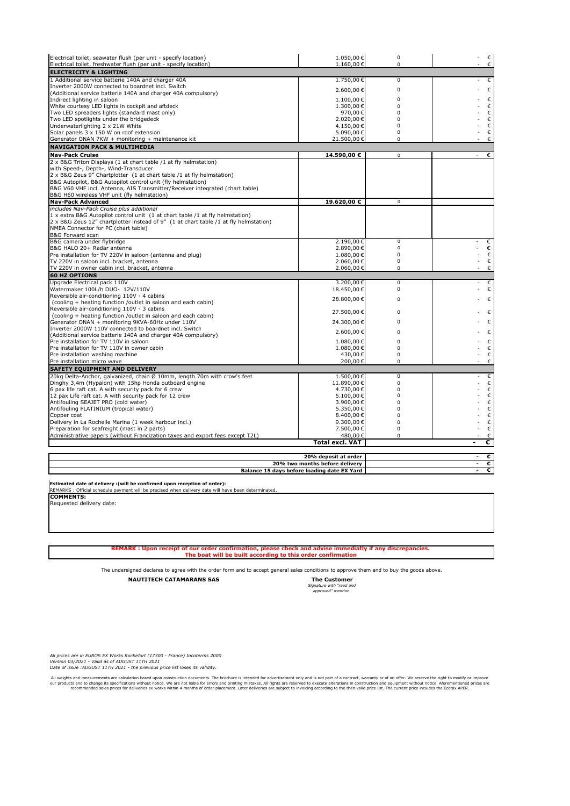| Electrical toilet, seawater flush (per unit - specify location)                                              | 1.050,00€              | $\pmb{0}$   | $\epsilon$<br>÷. |
|--------------------------------------------------------------------------------------------------------------|------------------------|-------------|------------------|
| Electrical toilet, freshwater flush (per unit - specify location)                                            | 1.160,00€              | $\mathbf 0$ | $\epsilon$       |
| <b>ELECTRICITY &amp; LIGHTING</b>                                                                            |                        |             |                  |
| 1 Additional service batterie 140A and charger 40A                                                           | 1.750,00€              | $\mathbf 0$ | €                |
| Inverter 2000W connected to boardnet incl. Switch                                                            | 2.600,00€              | $\mathbf 0$ | €                |
| (Additional service batterie 140A and charger 40A compulsory)<br>Indirect lighting in saloon                 |                        | $\mathbf 0$ | $\epsilon$       |
| White courtesy LED lights in cockpit and aftdeck                                                             | 1.100,00€<br>1.300,00€ | $\Omega$    | $\epsilon$       |
| Two LED spreaders lights (standard mast only)                                                                | 970,00€                | 0           | $\epsilon$       |
| Two LED spotlights under the bridgedeck                                                                      | 2.020,00€              | $\Omega$    | C                |
| Underwaterlighting 2 x 21W White                                                                             | 4.150,00€              | 0           | €                |
| Solar panels 3 x 150 W on roof extension                                                                     | 5.090,00€              | $\pmb{0}$   | $\epsilon$       |
| Generator ONAN 7KW + monitoring + maintenance kit                                                            | 21.500,00€             | $\pmb{0}$   | $\epsilon$       |
| <b>NAVIGATION PACK &amp; MULTIMEDIA</b>                                                                      |                        |             |                  |
| <b>Nav-Pack Cruise</b>                                                                                       | 14.590,00 €            | 0           | €<br>-           |
| 2 x B&G Triton Displays (1 at chart table /1 at fly helmstation)                                             |                        |             |                  |
| with Speed-, Depth-, Wind-Transducer                                                                         |                        |             |                  |
| 2 x B&G Zeus 9" Chartplotter (1 at chart table /1 at fly helmstation)                                        |                        |             |                  |
| B&G Autopilot, B&G Autopilot control unit (fly helmstation)                                                  |                        |             |                  |
| B&G V60 VHF incl. Antenna, AIS Transmitter/Receiver integrated (chart table)                                 |                        |             |                  |
| B&G H60 wireless VHF unit (fly helmstation)                                                                  |                        |             |                  |
| <b>Nav-Pack Advanced</b>                                                                                     | 19.620,00 €            | $\mathbf 0$ |                  |
| includes Nav-Pack Cruise plus additional                                                                     |                        |             |                  |
| 1 x extra B&G Autopilot control unit (1 at chart table /1 at fly helmstation)                                |                        |             |                  |
| 2 x B&G Zeus 12" chartplotter instead of 9" (1 at chart table /1 at fly helmstation)                         |                        |             |                  |
| NMEA Connector for PC (chart table)                                                                          |                        |             |                  |
| B&G Forward scan                                                                                             |                        |             |                  |
| B&G camera under flybridge                                                                                   | 2.190,00€              | $\mathsf 0$ | €                |
| B&G HALO 20+ Radar antenna                                                                                   | 2.890,00€              | $\mathbf 0$ | €                |
| Pre installation for TV 220V in saloon (antenna and plug)                                                    | 1.080,00€              | $\pmb{0}$   | $\epsilon$       |
| TV 220V in saloon incl. bracket, antenna                                                                     | 2.060,00€              | $\mathbf 0$ | $\epsilon$       |
| TV 220V in owner cabin incl. bracket, antenna                                                                | 2.060,00€              | $\pmb{0}$   | $\epsilon$       |
| <b>60 HZ OPTIONS</b>                                                                                         |                        |             |                  |
| Upgrade Electrical pack 110V                                                                                 | 3.200,00€              | $\Omega$    | $\epsilon$       |
| Watermaker 100L/h DUO- 12V/110V                                                                              | 18.450,00€             | $\Omega$    | €                |
| Reversible air-conditioning 110V - 4 cabins                                                                  | 28.800,00€             | $\Omega$    | $\epsilon$       |
| (cooling + heating function /outlet in saloon and each cabin)<br>Reversible air-conditioning 110V - 3 cabins |                        |             |                  |
| (cooling + heating function /outlet in saloon and each cabin)                                                | 27.500,00€             | $\Omega$    | €                |
| Generator ONAN + monitoring 9KVA-60Hz under 110V                                                             | 24.300,00€             | $\Omega$    | $\epsilon$       |
| Inverter 2000W 110V connected to boardnet incl. Switch                                                       |                        |             |                  |
| (Additional service batterie 140A and charger 40A compulsory)                                                | 2.600,00€              | $\Omega$    | €                |
| Pre installation for TV 110V in saloon                                                                       | 1.080,00€              | $\Omega$    | $\epsilon$       |
| Pre installation for TV 110V in owner cabin                                                                  | 1.080,00€              | $\Omega$    | €                |
| Pre installation washing machine                                                                             | 430,00€                | 0           | $\epsilon$       |
| Pre installation micro wave                                                                                  | 200,00€                | 0           | $\epsilon$       |
| <b>SAFETY EQUIPMENT AND DELIVERY</b>                                                                         |                        |             |                  |
| 20kg Delta-Anchor, galvanized, chain Ø 10mm, length 70m with crow's feet                                     | 1.500,00€              | 0           | €                |
| Dinghy 3,4m (Hypalon) with 15hp Honda outboard engine                                                        | 11.890,00€             | 0           | €                |
| 6 pax life raft cat. A with security pack for 6 crew                                                         | 4.730,00€              | $\Omega$    | €                |
| 12 pax Life raft cat. A with security pack for 12 crew                                                       | 5.100,00€              | $\Omega$    | $\epsilon$       |
| Antifouling SEAJET PRO (cold water)                                                                          | 3.900,00€              | $\Omega$    | €                |
| Antifouling PLATINIUM (tropical water)                                                                       | 5.350,00€              | $\Omega$    | €                |
| Copper coat                                                                                                  | 8.400,00€              | 0           | €                |
| Delivery in La Rochelle Marina (1 week harbour incl.)                                                        | 9.300,00€              | $\mathbf 0$ | €                |
| Preparation for seafreight (mast in 2 parts)                                                                 | 7.500,00€              | 0           | €                |
| Administrative papers (without Francization taxes and export fees except T2L)                                | 480,00€                | 0           | €                |
|                                                                                                              | <b>Total excl. VAT</b> |             | €                |
|                                                                                                              |                        |             |                  |
|                                                                                                              | 20% deposit at order   |             | €                |

**20% two months before delivery - exercise in the set of the set of the set of the set of the Balance 15 days before loading date EX Yard**  $\overline{\phantom{a}}$  **<b>6** 

**Estimated date of delivery :(will be confirmed upon reception of order):** REMARKS : Official schedule payment will be precised when delivery date will have been determinated.

**COMMENTS:** Requested delivery date:

**REMARK : Upon receipt of our order confirmation, please check and advise immediatly if any discrepancies. The boat will be built according to this order confirmation**

The undersigned declares to agree with the order form and to accept general sales conditions to approve them and to buy the goods above.

**NAUTITECH CATAMARANS SAS** 

 *Signature with "read and approved" mention* 

*All prices are in EUROS EX Works Rochefort (17300 - France) Incoterms 2000 Version 03/2021 - Valid as of AUGUST 11TH 2021 Date of issue :AUGUST 11TH 2021 - the previous price list loses its validity.*

All weights and measurements are calculation based upon construction documents. The brochure is intended for advertisement only and is not part of a contract, warranty or of an offer. We reserve the right to modify or impr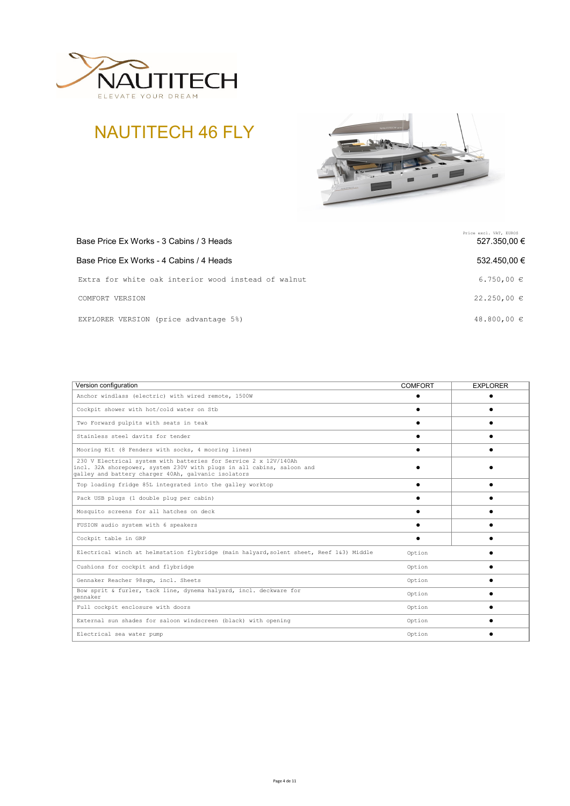





| Base Price Ex Works - 3 Cabins / 3 Heads            | Price excl. VAT, EUROS<br>527.350,00 € |
|-----------------------------------------------------|----------------------------------------|
| Base Price Ex Works - 4 Cabins / 4 Heads            | 532.450.00 €                           |
| Extra for white oak interior wood instead of walnut | 6.750,00 $\in$                         |
| COMFORT VERSION                                     | $22.250,00 \in$                        |
| EXPLORER VERSION (price advantage 5%)               | 48.800,00 $\in$                        |

| Version configuration                                                                                                                                                                             | <b>COMFORT</b> | <b>EXPLORER</b> |
|---------------------------------------------------------------------------------------------------------------------------------------------------------------------------------------------------|----------------|-----------------|
| Anchor windlass (electric) with wired remote, 1500W                                                                                                                                               |                |                 |
| Cockpit shower with hot/cold water on Stb                                                                                                                                                         |                |                 |
| Two Forward pulpits with seats in teak                                                                                                                                                            |                |                 |
| Stainless steel davits for tender                                                                                                                                                                 |                |                 |
| Mooring Kit (8 Fenders with socks, 4 mooring lines)                                                                                                                                               |                |                 |
| 230 V Electrical system with batteries for Service 2 x 12V/140Ah<br>incl. 32A shorepower, system 230V with plugs in all cabins, saloon and<br>galley and battery charger 40Ah, galvanic isolators |                |                 |
| Top loading fridge 85L integrated into the galley worktop                                                                                                                                         |                |                 |
| Pack USB plugs (1 double plug per cabin)                                                                                                                                                          |                |                 |
| Mosquito screens for all hatches on deck                                                                                                                                                          |                |                 |
| FUSION audio system with 6 speakers                                                                                                                                                               |                |                 |
| Cockpit table in GRP                                                                                                                                                                              |                |                 |
| Electrical winch at helmstation flybridge (main halyard, solent sheet, Reef 1&3) Middle                                                                                                           | Option         |                 |
| Cushions for cockpit and flybridge                                                                                                                                                                | Option         |                 |
| Gennaker Reacher 98sqm, incl. Sheets                                                                                                                                                              | Option         |                 |
| Bow sprit & furler, tack line, dynema halyard, incl. deckware for<br>qennaker                                                                                                                     | Option         |                 |
| Full cockpit enclosure with doors                                                                                                                                                                 | Option         |                 |
| External sun shades for saloon windscreen (black) with opening                                                                                                                                    | Option         |                 |
| Electrical sea water pump                                                                                                                                                                         | Option         |                 |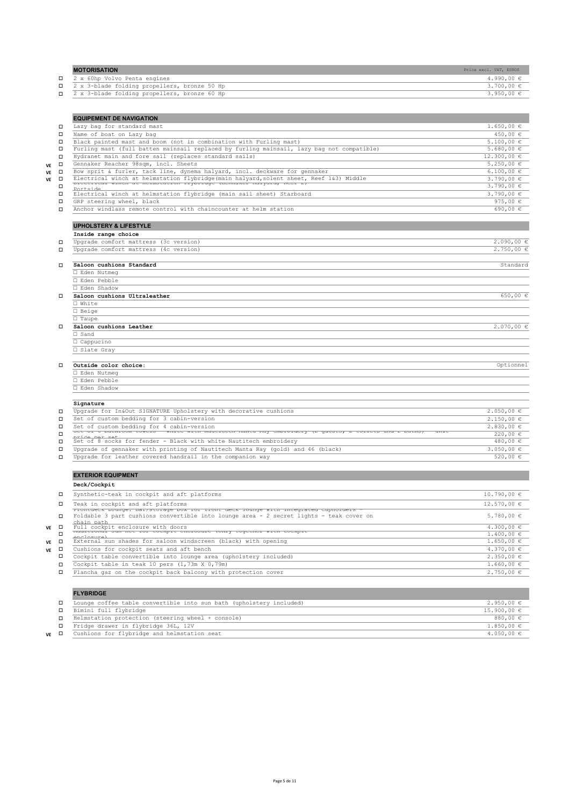| <b>MOTORISATION</b>                            | Price excl. VAT, EUROS |
|------------------------------------------------|------------------------|
| □ 2 x 60hp Volvo Penta engines                 | $4.990.00 \in$         |
| □ 2 x 3-blade folding propellers, bronze 50 Hp | $3.700.00 \in$         |
| □ 2 x 3-blade folding propellers, bronze 60 Hp | $3.950,00 \in$         |
|                                                |                        |

|                     | <b>EQUIPEMENT DE NAVIGATION</b>                                                                                                                                                             |                  |
|---------------------|---------------------------------------------------------------------------------------------------------------------------------------------------------------------------------------------|------------------|
| □                   | Lazy bag for standard mast                                                                                                                                                                  | $1.650,00 \in$   |
| □                   | Name of boat on Lazy bag                                                                                                                                                                    | 450,00 €         |
| □                   | Black painted mast and boom (not in combination with Furling mast)                                                                                                                          | $5.100,00 \in$   |
| П                   | Furling mast (full batten mainsail replaced by furling mainsail, lazy bag not compatible)                                                                                                   | 5.680,00 €       |
| □                   | Hydranet main and fore sail (replaces standard sails)                                                                                                                                       | 12.300,00 €      |
| $\Box$<br>VE        | Gennaker Reacher 98sqm, incl. Sheets                                                                                                                                                        | $5.250,00 \in$   |
| $\Box$<br>VE        | Bow sprit & furler, tack line, dynema halyard, incl. deckware for gennaker                                                                                                                  | $6.100,00 \in$   |
| $\Box$<br><b>VE</b> | Electrical winch at helmstation flybridge (main halyard, solent sheet, Reef 1&3) Middle                                                                                                     | 3.790,00 €       |
|                     | <u>riectiicai winch at neimstation ilyoriuge (Gennaket nalyaru, Keel 2)</u><br>Porteide                                                                                                     | 3.790,00 €       |
| $\Box$              | Electrical winch at helmstation flybridge (main sail sheet) Starboard                                                                                                                       | $3.790,00 \in$   |
| $\Box$              | GRP steering wheel, black                                                                                                                                                                   | 975,00 $\in$     |
| $\Box$              | Anchor windlass remote control with chaincounter at helm station                                                                                                                            | 690,00 €         |
|                     | <b>UPHOLSTERY &amp; LIFESTYLE</b>                                                                                                                                                           |                  |
|                     | Inside range choice                                                                                                                                                                         |                  |
| □                   | Upgrade comfort mattress (3c version)                                                                                                                                                       | $2.090,00 \in$   |
| П                   | Upgrade comfort mattress (4c version)                                                                                                                                                       | 2.750,00 €       |
| □                   | Saloon cushions Standard                                                                                                                                                                    | Standard         |
|                     | □ Eden Nutmeg                                                                                                                                                                               |                  |
|                     | □ Eden Pebble                                                                                                                                                                               |                  |
|                     | □ Eden Shadow                                                                                                                                                                               |                  |
| п                   | Saloon cushions Ultraleather                                                                                                                                                                | 650,00 €         |
|                     | □ White                                                                                                                                                                                     |                  |
|                     | $\square$ Beige                                                                                                                                                                             |                  |
|                     | $\Box$ Taupe                                                                                                                                                                                |                  |
|                     | Saloon cushions Leather                                                                                                                                                                     | $2.070,00 \in$   |
|                     | $\Box$ Sand                                                                                                                                                                                 |                  |
|                     | □ Cappucino                                                                                                                                                                                 |                  |
|                     | □ Slate Gray                                                                                                                                                                                |                  |
| п                   | Outside color choice:                                                                                                                                                                       | Optionnel        |
|                     | □ Eden Nutmeg                                                                                                                                                                               |                  |
|                     | □ Eden Pebble                                                                                                                                                                               |                  |
|                     | □ Eden Shadow                                                                                                                                                                               |                  |
|                     | Signature                                                                                                                                                                                   |                  |
| П                   | Upgrade for In&Out SIGNATURE Upholstery with decorative cushions                                                                                                                            | $2.050,00 \in$   |
| □                   | Set of custom bedding for 3 cabin-version                                                                                                                                                   | $2.150,00 \in$   |
| □                   | Set of custom bedding for 4 cabin-version                                                                                                                                                   | 2.830,00 €       |
| □                   | bet or a nathroom towers - white with wautiteth manta way emproruery (2 guests, 2 torrets and 2 baths)<br><u>nrice ner set</u>                                                              | 220,00 €         |
| □                   | Set of 8 socks for fender - Black with white Nautitech embroidery                                                                                                                           | 480,00 €         |
| $\Box$              | Upgrade of gennaker with printing of Nautitech Manta Ray (gold) and 46 (black)                                                                                                              | 3.050,00 $\in$   |
| П                   | Upgrade for leather covered handrail in the companion way                                                                                                                                   | 520,00 €         |
|                     | <b>EXTERIOR EQUIPMENT</b>                                                                                                                                                                   |                  |
|                     | Deck/Cockpit                                                                                                                                                                                |                  |
| □                   | Synthetic-teak in cockpit and aft platforms                                                                                                                                                 | 10.790,00 €      |
| □                   | Teak in cockpit and aft platforms                                                                                                                                                           | 12.570,00€       |
| □                   | rrontaeck Lounge: Bar/Storage Dox for front deck founge with integrated cuphorders<br>Foldable 3 part cushions convertible into lounge area - 2 secret lights - teak cover on<br>chain nath | 5.780,00 €       |
| ve □                | Full cockpit enclosure with doors<br>madicional sun net for cockpit encrosure (only cogether with cockpit                                                                                   | $4.300,00 \in$   |
| □                   | anglasurel                                                                                                                                                                                  | $1.400,00 \in$   |
| n<br>$\overline{r}$ | External sun shades for saloon windscreen (black) with opening                                                                                                                              | $1,650,00$ $\in$ |

| VF | External sun shades for saloon windscreen (black) with opening   | $1.650.00 \in$ |
|----|------------------------------------------------------------------|----------------|
| VE | Cushions for cockpit seats and aft bench                         | $4.370.00 \in$ |
|    | Cockpit table convertible into lounge area (upholstery included) | 2,350,00 €     |
|    | Cockpit table in teak 10 pers (1,73m X 0,79m)                    | $1.660.00 \in$ |
|    | Plancha gaz on the cockpit back balcony with protection cover    | 2.750,00 €     |

# **FLYBRIDGE**

|    | Lounge coffee table convertible into sun bath (upholstery included) | $2,950,00 \in$  |
|----|---------------------------------------------------------------------|-----------------|
|    | Bimini full flybridge                                               | $15.900.00 \in$ |
|    | Helmstation protection (steering wheel + console)                   | 880,00 $\in$    |
|    | Fridge drawer in flybridge 36L, 12V                                 | $1.850.00 \in$  |
| VE | Cushions for flybridge and helmstation seat                         | $4.050.00 \in$  |

٦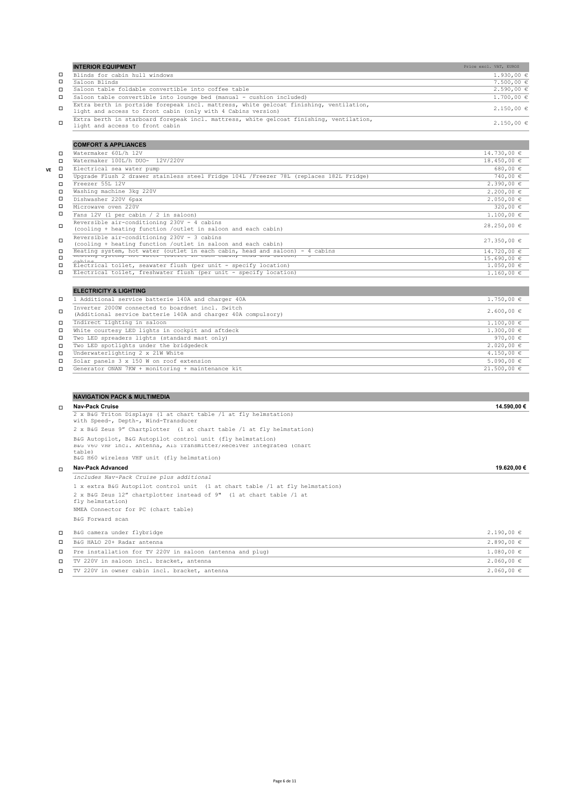|        | <b>INTERIOR EQUIPMENT</b>                                                                                                                              | Price excl. VAT, EUROS |                |
|--------|--------------------------------------------------------------------------------------------------------------------------------------------------------|------------------------|----------------|
| □      | Blinds for cabin hull windows                                                                                                                          |                        | $1.930,00 \in$ |
| □      | Saloon Blinds                                                                                                                                          |                        | $7.500,00 \in$ |
| □      | Saloon table foldable convertible into coffee table                                                                                                    |                        | $2,590,00 \in$ |
| $\Box$ | Saloon table convertible into lounge bed (manual - cushion included)                                                                                   |                        | $1.700.00 \in$ |
| $\Box$ | Extra berth in portside forepeak incl. mattress, white gelcoat finishing, ventilation,<br>light and access to front cabin (only with 4 Cabins version) |                        | $2.150.00 \in$ |
| $\Box$ | Extra berth in starboard forepeak incl. mattress, white gelcoat finishing, ventilation,<br>light and access to front cabin                             |                        | $2.150.00 \in$ |

|              | <b>COMFORT &amp; APPLIANCES</b>                                                                                    |                |
|--------------|--------------------------------------------------------------------------------------------------------------------|----------------|
| □            | Watermaker 60L/h 12V                                                                                               | 14.730,00 €    |
| □            | Watermaker 100L/h DUO- 12V/220V                                                                                    | 18.450,00 €    |
| $\Box$<br>VE | Electrical sea water pump                                                                                          | $680.00 \in$   |
| □            | Upgrade Flush 2 drawer stainless steel Fridge 104L /Freezer 78L (replaces 182L Fridge)                             | 740,00 €       |
| п            | Freezer 55L 12V                                                                                                    | $2.390,00 \in$ |
| □            | Washing machine 3kg 220V                                                                                           | $2,200,00 \in$ |
| □            | Dishwasher 220V 6pax                                                                                               | $2.050,00 \in$ |
| □            | Microwaye oven 220V                                                                                                | 320,00 €       |
| □            | Fans 12V (1 per cabin / 2 in saloon)                                                                               | $1.100,00 \in$ |
| □            | Reversible air-conditioning 230V - 4 cabins<br>(cooling + heating function /outlet in saloon and each cabin)       | 28.250,00 €    |
| □            | Reversible air-conditioning 230V - 3 cabins<br>(cooling + heating function /outlet in saloon and each cabin)       | 27.350,00€     |
| □            | Heating system, hot water (outlet in each cabin, head and saloon) - 4 cabins                                       | 14.720,00 €    |
| □            | neating system, not water joutiet in each capin, nead and saroon, - 5<br>cohine                                    | 15.690,00 €    |
| □            | Electrical toilet, seawater flush (per unit - specify location)                                                    | $1.050.00 \in$ |
|              | Electrical toilet, freshwater flush (per unit - specify location)                                                  | $1.160,00 \in$ |
|              | <b>ELECTRICITY &amp; LIGHTING</b>                                                                                  |                |
|              | 1 Additional service batterie 140A and charger 40A                                                                 | $1.750,00 \in$ |
| □            | Inverter 2000W connected to boardnet incl. Switch<br>(Additional service batterie 140A and charger 40A compulsory) | $2,600,00 \in$ |
| □            | Indirect lighting in saloon                                                                                        | $1.100,00 \in$ |
| □            | White courtesy LED lights in cockpit and aftdeck                                                                   | $1.300,00 \in$ |
| □            | Two LED spreaders lights (standard mast only)                                                                      | 970,00 $\in$   |
| □            | Two LED spotlights under the bridgedeck                                                                            | $2.020,00 \in$ |
| □            | Underwaterlighting 2 x 21W White                                                                                   | 4.150,00 $\in$ |
| □            | Solar panels 3 x 150 W on roof extension                                                                           | $5.090.00 \in$ |

 $\square$  Generator ONAN 7KW + monitoring + maintenance kit 21.500,00 €

|        | <b>NAVIGATION PACK &amp; MULTIMEDIA</b>                                                                                                        |                |
|--------|------------------------------------------------------------------------------------------------------------------------------------------------|----------------|
| $\Box$ | <b>Nav-Pack Cruise</b>                                                                                                                         | 14.590.00 €    |
|        | 2 x B&G Triton Displays (1 at chart table /1 at fly helmstation)<br>with Speed-, Depth-, Wind-Transducer                                       |                |
|        | 2 x B&G Zeus 9" Chartplotter (1 at chart table /1 at fly helmstation)                                                                          |                |
|        | B&G Autopilot, B&G Autopilot control unit (fly helmstation)<br>B&G V60 VHF incl. Antenna, AIS Transmitter/Receiver integrated (chart<br>table) |                |
|        | B&G H60 wireless VHF unit (fly helmstation)                                                                                                    |                |
| $\Box$ | <b>Nav-Pack Advanced</b>                                                                                                                       | 19.620,00 €    |
|        | includes Nav-Pack Cruise plus additional                                                                                                       |                |
|        | 1 x extra B&G Autopilot control unit (1 at chart table /1 at fly helmstation)                                                                  |                |
|        | 2 x B&G Zeus 12" chartplotter instead of 9" (1 at chart table /1 at<br>fly helmstation)                                                        |                |
|        | NMEA Connector for PC (chart table)                                                                                                            |                |
|        | B&G Forward scan                                                                                                                               |                |
| П      | B&G camera under flybridge                                                                                                                     | $2.190,00 \in$ |
| $\Box$ | B&G HALO 20+ Radar antenna                                                                                                                     | $2.890.00 \in$ |
| □      | Pre installation for TV 220V in saloon (antenna and plug)                                                                                      | $1.080.00 \in$ |
| $\Box$ | TV 220V in saloon incl. bracket, antenna                                                                                                       | $2,060,00 \in$ |
| □      | TV 220V in owner cabin incl. bracket, antenna                                                                                                  | $2.060,00 \in$ |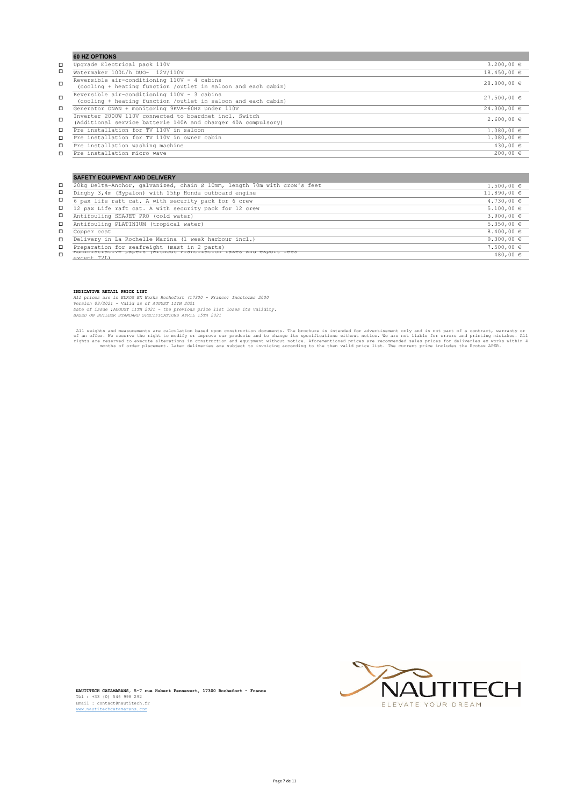|        | <b>60 HZ OPTIONS</b>                                                                                                    |                 |
|--------|-------------------------------------------------------------------------------------------------------------------------|-----------------|
| □      | Upgrade Electrical pack 110V                                                                                            | $3.200.00 \in$  |
| □      | Watermaker 100L/h DUO- 12V/110V                                                                                         | $18.450.00 \in$ |
| $\Box$ | Reversible air-conditioning 110V - 4 cabins<br>(cooling + heating function /outlet in saloon and each cabin)            | $28.800,00 \in$ |
| $\Box$ | Reversible air-conditioning 110V - 3 cabins<br>(cooling + heating function /outlet in saloon and each cabin)            | $27.500.00 \in$ |
| □      | Generator ONAN + monitoring 9KVA-60Hz under 110V                                                                        | $24.300,00 \in$ |
| $\Box$ | Inverter 2000W 110V connected to boardnet incl. Switch<br>(Additional service batterie 140A and charger 40A compulsory) | $2,600,00 \in$  |
| □      | Pre installation for TV 110V in saloon                                                                                  | $1.080.00 \in$  |
| □      | Pre installation for TV 110V in owner cabin                                                                             | $1.080.00 \in$  |
| □      | Pre installation washing machine                                                                                        | $430,00 \in$    |
| о      | Pre installation micro wave                                                                                             | $200,00 \in$    |

|   | <b>SAFETY EQUIPMENT AND DELIVERY</b>                                             |                 |
|---|----------------------------------------------------------------------------------|-----------------|
| □ | 20kg Delta-Anchor, galvanized, chain Ø 10mm, length 70m with crow's feet         | $1.500.00 \in$  |
| П | Dinghy 3,4m (Hypalon) with 15hp Honda outboard engine                            | $11.890,00 \in$ |
| П | 6 pax life raft cat. A with security pack for 6 crew                             | $4.730,00 \in$  |
| О | 12 pax Life raft cat. A with security pack for 12 crew                           | $5.100,00 \in$  |
| П | Antifouling SEAJET PRO (cold water)                                              | 3.900,00 $\in$  |
| α | Antifouling PLATINIUM (tropical water)                                           | $5.350,00 \in$  |
| α | Copper coat                                                                      | 8.400,00 $\in$  |
| □ | Delivery in La Rochelle Marina (1 week harbour incl.)                            | 9.300,00 $\in$  |
| □ | Preparation for seafreight (mast in 2 parts)                                     | $7.500,00 \in$  |
| п | nuministrative papers (without riancization taxes and export rees<br>aycant T2L) | $480,00 \in$    |
|   |                                                                                  |                 |

**INDICATIVE RETAIL PRICE LIST**

*All prices are in EUROS EX Works Rochefort (17300 - France) Incoterms 2000<br>Version 03/2021 - Valid as of AUGUST 11TH 2021<br>Date of issue :AUGUST 11TH 2021 - the previous price list loses its validity.<br>BASED ON BUILDER STAN* 

All weights and measurements are calculation based upon construction documents. The brochure is intended for advertisement only and is not part of a contract, warranty or improve our products and to change its specificatio



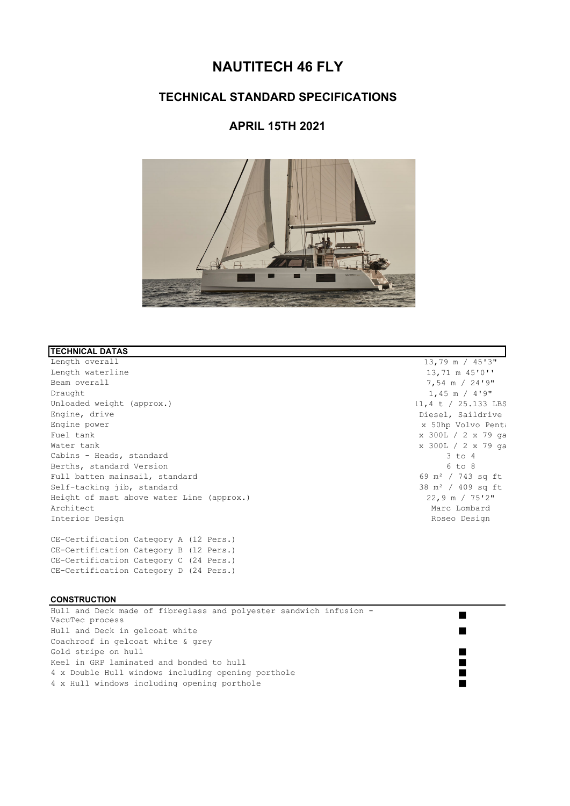# **NAUTITECH 46 FLY**

# **TECHNICAL STANDARD SPECIFICATIONS**

# **APRIL 15TH 2021**



## **TECHNICAL DATAS**

Length overall 13,79 m / 45'3" Length waterline 13,71 m 45'0'' and the 13,71 m 45'0'' Beam overall  $7,54$  m  $/$   $24'9"$ <br>Draught  $1.45$  m  $/$   $4'9"$ Unloaded weight (approx.)<br>
Engine, drive the contract of the contract of the contract of the contract of the contract of the contract of<br>
Diesel, Saildrive Engine power x 50hp Volvo Penta Fuel tank x 300L / 2 x 79 ga Water tank x 300L / 2 x 79 ga Cabins - Heads, standard 3 to 4<br>Berths, standard Version 3 to 8 Berths, standard Version 6 to 8<br>
Full batten mainsail, standard 69 m<sup>2</sup> / 743 sq ft Full batten mainsail, standard  $69 \text{ m}^2$  / 743 sq ft  $69 \text{ m}^2$  / 743 sq ft  $69 \text{ m}^2$  / 743 sq ft  $69 \text{ m}^2$  / 743 sq ft  $69 \text{ m}^2$  / 409 sq ft  $38 \text{ m}^2$  / 409 sq ft  $38 \text{ m}^2$  / 409 sq ft  $38 \text{ m}^2$  / 409 sq f Self-tacking jib, standard 38 m<sup>2</sup> / 409 sq ft 38 m<sup>2</sup> / 409 sq ft 38 m<sup>2</sup> / 409 sq ft 38 m<sup>2</sup> / 409 sq ft 38 m<sup>2</sup> / 409 sq ft 38 m<sup>2</sup> / 409 sq ft 312 m Height of mast above water Line (approx.)<br>Architect Interior Design Roseo Design Roseo Design Roseo Design Roseo Design Roseo Design Roseo Design Roseo Design Roseo Design Roseo Design Roseo Design Roseo Design Roseo Design Roseo Design Roseo Design Roseo Design Roseo Desig

CE-Certification Category A (12 Pers.) CE-Certification Category B (12 Pers.) CE-Certification Category C (24 Pers.) CE-Certification Category D (24 Pers.)

# **CONSTRUCTION**

Hull and Deck made of fibreglass and polyester sandwich infusion - VacuTec process Hull and Deck in gelcoat white Coachroof in gelcoat white & grey Gold stripe on hull stripe of  $\mathcal{L}$  and  $\mathcal{L}$  and  $\mathcal{L}$  and  $\mathcal{L}$  and  $\mathcal{L}$  and  $\mathcal{L}$  and  $\mathcal{L}$  and  $\mathcal{L}$  and  $\mathcal{L}$  and  $\mathcal{L}$  and  $\mathcal{L}$  and  $\mathcal{L}$  and  $\mathcal{L}$  and  $\mathcal{L}$  and  $\mathcal{L}$  a Keel in GRP laminated and bonded to hull 4 x Double Hull windows including opening porthole 4 x Hull windows including opening porthole

 $1,45$  m /  $4'9"$ Diesel, Saildrive Marc Lombard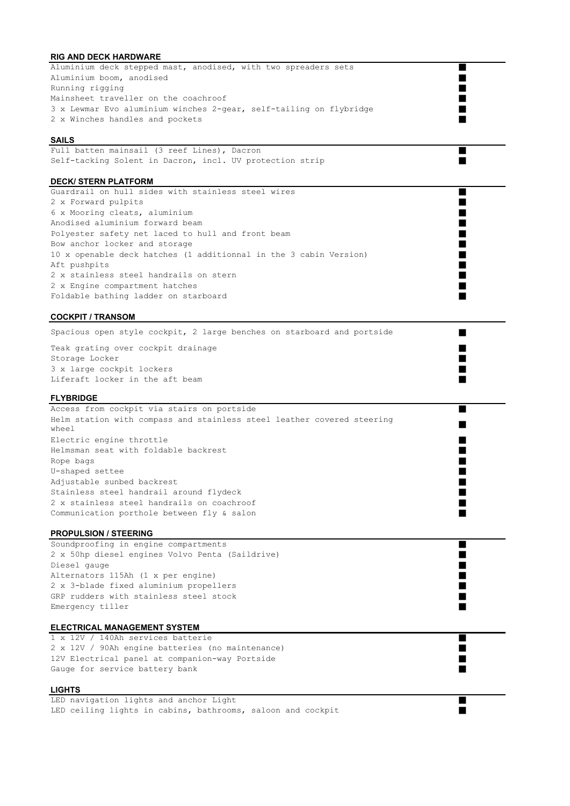# **RIG AND DECK HARDWARE**

| <b>NO AND DESIGNATION</b><br>Aluminium deck stepped mast, anodised, with two spreaders sets<br>▅ |  |
|--------------------------------------------------------------------------------------------------|--|
| Aluminium boom, anodised                                                                         |  |
| Running rigging                                                                                  |  |
| Mainsheet traveller on the coachroof                                                             |  |
| 3 x Lewmar Evo aluminium winches 2-gear, self-tailing on flybridge                               |  |
| 2 x Winches handles and pockets                                                                  |  |
|                                                                                                  |  |
| <b>SAILS</b>                                                                                     |  |
| Full batten mainsail (3 reef Lines), Dacron                                                      |  |
| Self-tacking Solent in Dacron, incl. UV protection strip                                         |  |
|                                                                                                  |  |
| <b>DECK/ STERN PLATFORM</b>                                                                      |  |
| Guardrail on hull sides with stainless steel wires<br>■                                          |  |
| 2 x Forward pulpits                                                                              |  |
| 6 x Mooring cleats, aluminium                                                                    |  |
| Anodised aluminium forward beam                                                                  |  |
| Polyester safety net laced to hull and front beam                                                |  |
| Bow anchor locker and storage<br>٠                                                               |  |
| 10 x openable deck hatches (1 additionnal in the 3 cabin Version)                                |  |
| Aft pushpits                                                                                     |  |
| 2 x stainless steel handrails on stern                                                           |  |
| 2 x Engine compartment hatches                                                                   |  |
| Foldable bathing ladder on starboard<br>٠                                                        |  |
|                                                                                                  |  |
| <b>COCKPIT / TRANSOM</b>                                                                         |  |
| Spacious open style cockpit, 2 large benches on starboard and portside<br>▅                      |  |
| Teak grating over cockpit drainage                                                               |  |
| Storage Locker                                                                                   |  |
| 3 x large cockpit lockers                                                                        |  |
| Liferaft locker in the aft beam                                                                  |  |
|                                                                                                  |  |
| <b>FLYBRIDGE</b>                                                                                 |  |
| Access from cockpit via stairs on portside                                                       |  |
| Helm station with compass and stainless steel leather covered steering                           |  |
| wheel                                                                                            |  |
| Electric engine throttle                                                                         |  |
| Helmsman seat with foldable backrest                                                             |  |
| Rope bags                                                                                        |  |
| U-shaped settee                                                                                  |  |
| Adjustable sunbed backrest                                                                       |  |
| Stainless steel handrail around flydeck                                                          |  |
| 2 x stainless steel handrails on coachroof                                                       |  |
| Communication porthole between fly & salon                                                       |  |
|                                                                                                  |  |
| <b>PROPULSION / STEERING</b>                                                                     |  |
| Soundproofing in engine compartments                                                             |  |
| 2 x 50hp diesel engines Volvo Penta (Saildrive)                                                  |  |
| Diesel gauge                                                                                     |  |
| Alternators 115Ah (1 x per engine)                                                               |  |
| 2 x 3-blade fixed aluminium propellers                                                           |  |
| GRP rudders with stainless steel stock                                                           |  |
| Emergency tiller<br>▄                                                                            |  |
| <b>ELECTRICAL MANAGEMENT SYSTEM</b>                                                              |  |
| 1 x 12V / 140Ah services batterie<br>▅                                                           |  |
| 2 x 12V / 90Ah engine batteries (no maintenance)                                                 |  |
| 12V Electrical panel at companion-way Portside                                                   |  |
| Gauge for service battery bank                                                                   |  |
|                                                                                                  |  |
| <b>LIGHTS</b>                                                                                    |  |
| LED navigation lights and anchor Light                                                           |  |

LED ceiling lights in cabins, bathrooms, saloon and cockpit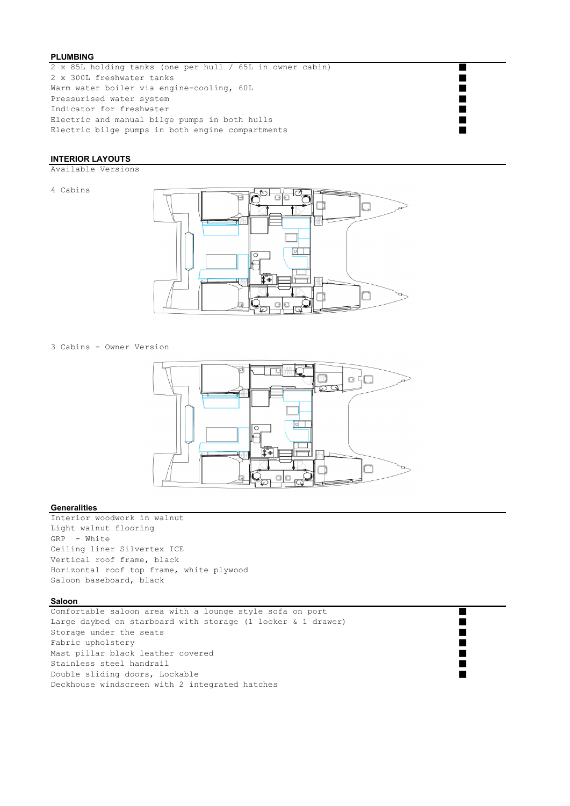## **PLUMBING**

2 x 85L holding tanks (one per hull / 65L in owner cabin) 2 x 300L freshwater tanks Warm water boiler via engine-cooling, 60L Pressurised water system Indicator for freshwater Electric and manual bilge pumps in both hulls Electric bilge pumps in both engine compartments

## **INTERIOR LAYOUTS**

Available Versions

4 Cabins



3 Cabins - Owner Version



#### **Generalities**

Interior woodwork in walnut Light walnut flooring GRP - White Ceiling liner Silvertex ICE Vertical roof frame, black Horizontal roof top frame, white plywood Saloon baseboard, black

#### **Saloon**

Comfortable saloon area with a lounge style sofa on port Large daybed on starboard with storage (1 locker & 1 drawer) Storage under the seats Fabric upholstery and the state of the state of the state of the state of the state of the state of the state of the state of the state of the state of the state of the state of the state of the state of the state of the s Mast pillar black leather covered Stainless steel handrail Double sliding doors, Lockable Deckhouse windscreen with 2 integrated hatches